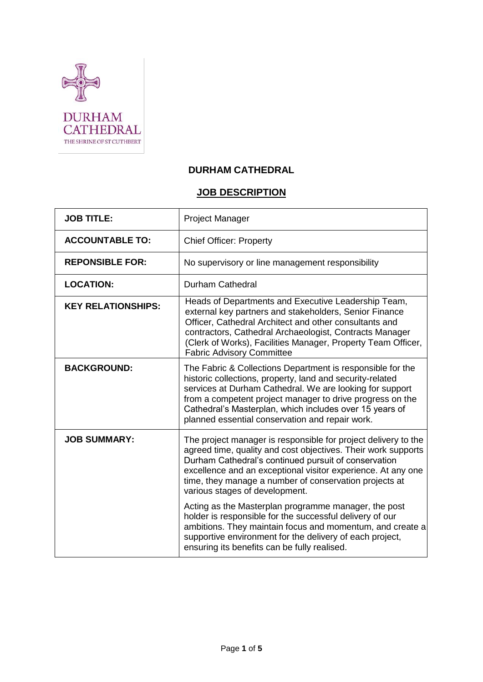

# **DURHAM CATHEDRAL**

# **JOB DESCRIPTION**

| <b>JOB TITLE:</b>         | Project Manager                                                                                                                                                                                                                                                                                                                                                |
|---------------------------|----------------------------------------------------------------------------------------------------------------------------------------------------------------------------------------------------------------------------------------------------------------------------------------------------------------------------------------------------------------|
| <b>ACCOUNTABLE TO:</b>    | <b>Chief Officer: Property</b>                                                                                                                                                                                                                                                                                                                                 |
| <b>REPONSIBLE FOR:</b>    | No supervisory or line management responsibility                                                                                                                                                                                                                                                                                                               |
| <b>LOCATION:</b>          | <b>Durham Cathedral</b>                                                                                                                                                                                                                                                                                                                                        |
| <b>KEY RELATIONSHIPS:</b> | Heads of Departments and Executive Leadership Team,<br>external key partners and stakeholders, Senior Finance<br>Officer, Cathedral Architect and other consultants and<br>contractors, Cathedral Archaeologist, Contracts Manager<br>(Clerk of Works), Facilities Manager, Property Team Officer,<br><b>Fabric Advisory Committee</b>                         |
| <b>BACKGROUND:</b>        | The Fabric & Collections Department is responsible for the<br>historic collections, property, land and security-related<br>services at Durham Cathedral. We are looking for support<br>from a competent project manager to drive progress on the<br>Cathedral's Masterplan, which includes over 15 years of<br>planned essential conservation and repair work. |
| <b>JOB SUMMARY:</b>       | The project manager is responsible for project delivery to the<br>agreed time, quality and cost objectives. Their work supports<br>Durham Cathedral's continued pursuit of conservation<br>excellence and an exceptional visitor experience. At any one<br>time, they manage a number of conservation projects at<br>various stages of development.            |
|                           | Acting as the Masterplan programme manager, the post<br>holder is responsible for the successful delivery of our<br>ambitions. They maintain focus and momentum, and create a<br>supportive environment for the delivery of each project,<br>ensuring its benefits can be fully realised.                                                                      |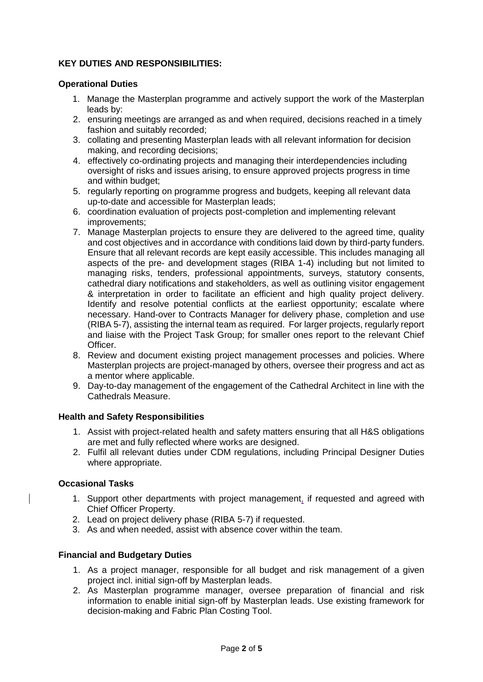## **KEY DUTIES AND RESPONSIBILITIES:**

## **Operational Duties**

- 1. Manage the Masterplan programme and actively support the work of the Masterplan leads by:
- 2. ensuring meetings are arranged as and when required, decisions reached in a timely fashion and suitably recorded;
- 3. collating and presenting Masterplan leads with all relevant information for decision making, and recording decisions;
- 4. effectively co-ordinating projects and managing their interdependencies including oversight of risks and issues arising, to ensure approved projects progress in time and within budget;
- 5. regularly reporting on programme progress and budgets, keeping all relevant data up-to-date and accessible for Masterplan leads;
- 6. coordination evaluation of projects post-completion and implementing relevant improvements;
- 7. Manage Masterplan projects to ensure they are delivered to the agreed time, quality and cost objectives and in accordance with conditions laid down by third-party funders. Ensure that all relevant records are kept easily accessible. This includes managing all aspects of the pre- and development stages (RIBA 1-4) including but not limited to managing risks, tenders, professional appointments, surveys, statutory consents, cathedral diary notifications and stakeholders, as well as outlining visitor engagement & interpretation in order to facilitate an efficient and high quality project delivery. Identify and resolve potential conflicts at the earliest opportunity; escalate where necessary. Hand-over to Contracts Manager for delivery phase, completion and use (RIBA 5-7), assisting the internal team as required. For larger projects, regularly report and liaise with the Project Task Group; for smaller ones report to the relevant Chief Officer.
- 8. Review and document existing project management processes and policies. Where Masterplan projects are project-managed by others, oversee their progress and act as a mentor where applicable.
- 9. Day-to-day management of the engagement of the Cathedral Architect in line with the Cathedrals Measure.

## **Health and Safety Responsibilities**

- 1. Assist with project-related health and safety matters ensuring that all H&S obligations are met and fully reflected where works are designed.
- 2. Fulfil all relevant duties under CDM regulations, including Principal Designer Duties where appropriate.

## **Occasional Tasks**

- 1. Support other departments with project management, if requested and agreed with Chief Officer Property.
- 2. Lead on project delivery phase (RIBA 5-7) if requested.
- 3. As and when needed, assist with absence cover within the team.

## **Financial and Budgetary Duties**

- 1. As a project manager, responsible for all budget and risk management of a given project incl. initial sign-off by Masterplan leads.
- 2. As Masterplan programme manager, oversee preparation of financial and risk information to enable initial sign-off by Masterplan leads. Use existing framework for decision-making and Fabric Plan Costing Tool.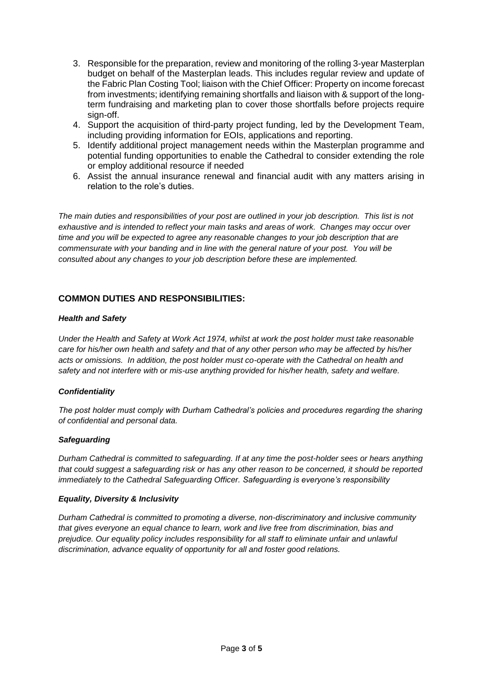- 3. Responsible for the preparation, review and monitoring of the rolling 3-year Masterplan budget on behalf of the Masterplan leads. This includes regular review and update of the Fabric Plan Costing Tool; liaison with the Chief Officer: Property on income forecast from investments; identifying remaining shortfalls and liaison with & support of the longterm fundraising and marketing plan to cover those shortfalls before projects require sign-off.
- 4. Support the acquisition of third-party project funding, led by the Development Team, including providing information for EOIs, applications and reporting.
- 5. Identify additional project management needs within the Masterplan programme and potential funding opportunities to enable the Cathedral to consider extending the role or employ additional resource if needed
- 6. Assist the annual insurance renewal and financial audit with any matters arising in relation to the role's duties.

*The main duties and responsibilities of your post are outlined in your job description. This list is not exhaustive and is intended to reflect your main tasks and areas of work. Changes may occur over time and you will be expected to agree any reasonable changes to your job description that are commensurate with your banding and in line with the general nature of your post. You will be consulted about any changes to your job description before these are implemented.*

## **COMMON DUTIES AND RESPONSIBILITIES:**

#### *Health and Safety*

*Under the Health and Safety at Work Act 1974, whilst at work the post holder must take reasonable care for his/her own health and safety and that of any other person who may be affected by his/her acts or omissions. In addition, the post holder must co-operate with the Cathedral on health and safety and not interfere with or mis-use anything provided for his/her health, safety and welfare.*

#### *Confidentiality*

*The post holder must comply with Durham Cathedral's policies and procedures regarding the sharing of confidential and personal data.* 

#### *Safeguarding*

*Durham Cathedral is committed to safeguarding. If at any time the post-holder sees or hears anything that could suggest a safeguarding risk or has any other reason to be concerned, it should be reported immediately to the Cathedral Safeguarding Officer. Safeguarding is everyone's responsibility*

#### *Equality, Diversity & Inclusivity*

*Durham Cathedral is committed to promoting a diverse, non-discriminatory and inclusive community that gives everyone an equal chance to learn, work and live free from discrimination, bias and prejudice. Our equality policy includes responsibility for all staff to eliminate unfair and unlawful discrimination, advance equality of opportunity for all and foster good relations.*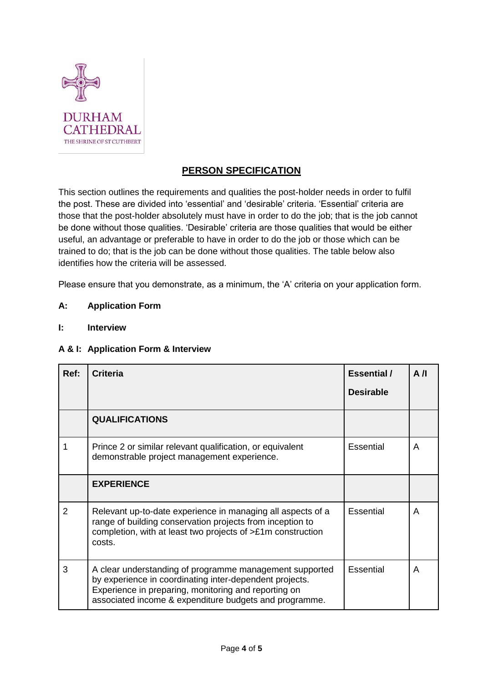

## **PERSON SPECIFICATION**

This section outlines the requirements and qualities the post-holder needs in order to fulfil the post. These are divided into 'essential' and 'desirable' criteria. 'Essential' criteria are those that the post-holder absolutely must have in order to do the job; that is the job cannot be done without those qualities. 'Desirable' criteria are those qualities that would be either useful, an advantage or preferable to have in order to do the job or those which can be trained to do; that is the job can be done without those qualities. The table below also identifies how the criteria will be assessed.

Please ensure that you demonstrate, as a minimum, the 'A' criteria on your application form.

## **A: Application Form**

**I: Interview** 

## **A & I: Application Form & Interview**

| Ref:           | <b>Criteria</b>                                                                                                                                                                                                                      | <b>Essential</b> /<br><b>Desirable</b> | A/I |
|----------------|--------------------------------------------------------------------------------------------------------------------------------------------------------------------------------------------------------------------------------------|----------------------------------------|-----|
|                | <b>QUALIFICATIONS</b>                                                                                                                                                                                                                |                                        |     |
|                | Prince 2 or similar relevant qualification, or equivalent<br>demonstrable project management experience.                                                                                                                             | Essential                              | A   |
|                | <b>EXPERIENCE</b>                                                                                                                                                                                                                    |                                        |     |
| $\overline{2}$ | Relevant up-to-date experience in managing all aspects of a<br>range of building conservation projects from inception to<br>completion, with at least two projects of >£1m construction<br>costs.                                    | <b>Essential</b>                       | A   |
| 3              | A clear understanding of programme management supported<br>by experience in coordinating inter-dependent projects.<br>Experience in preparing, monitoring and reporting on<br>associated income & expenditure budgets and programme. | Essential                              | A   |